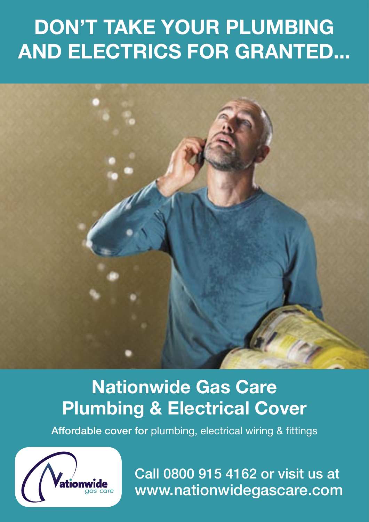# DON'T TAKE YOUR PLUMBING AND ELECTRICS FOR GRANTED...

## Nationwide Gas Care Plumbing & Electrical Cover

Affordable cover for plumbing, electrical wiring & fittings



Call 0800 915 4162 or visit us at www.nationwidegascare.com